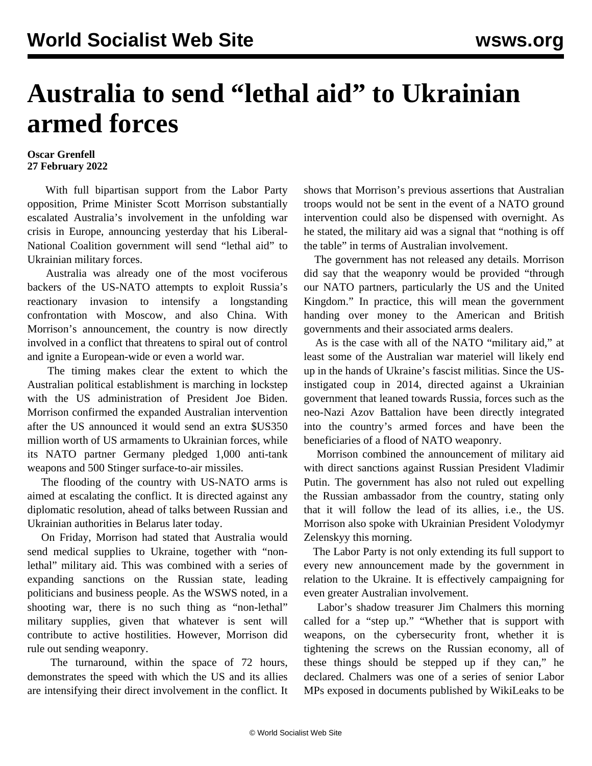## **Australia to send "lethal aid" to Ukrainian armed forces**

## **Oscar Grenfell 27 February 2022**

 With full bipartisan support from the Labor Party opposition, Prime Minister Scott Morrison substantially escalated Australia's involvement in the unfolding war crisis in Europe, announcing yesterday that his Liberal-National Coalition government will send "lethal aid" to Ukrainian military forces.

 Australia was already one of the most vociferous backers of the US-NATO attempts to exploit Russia's reactionary invasion to intensify a longstanding confrontation with Moscow, and also China. With Morrison's announcement, the country is now directly involved in a conflict that threatens to spiral out of control and ignite a European-wide or even a world war.

 The timing makes clear the extent to which the Australian political establishment is marching in lockstep with the US administration of President Joe Biden. Morrison confirmed the expanded Australian intervention after the US announced it would send an extra \$US350 million worth of US armaments to Ukrainian forces, while its NATO partner Germany pledged 1,000 anti-tank weapons and 500 Stinger surface-to-air missiles.

 The flooding of the country with US-NATO arms is aimed at escalating the conflict. It is directed against any diplomatic resolution, ahead of talks between Russian and Ukrainian authorities in Belarus later today.

 On Friday, Morrison had stated that Australia would send medical supplies to Ukraine, together with "nonlethal" military aid. This was combined with a series of expanding sanctions on the Russian state, leading politicians and business people. As the WSWS noted, in a shooting war, there is no such thing as "non-lethal" military supplies, given that whatever is sent will contribute to active hostilities. However, Morrison did rule out sending weaponry.

 The turnaround, within the space of 72 hours, demonstrates the speed with which the US and its allies are intensifying their direct involvement in the conflict. It shows that Morrison's previous assertions that Australian troops would not be sent in the event of a NATO ground intervention could also be dispensed with overnight. As he stated, the military aid was a signal that "nothing is off the table" in terms of Australian involvement.

 The government has not released any details. Morrison did say that the weaponry would be provided "through our NATO partners, particularly the US and the United Kingdom." In practice, this will mean the government handing over money to the American and British governments and their associated arms dealers.

 As is the case with all of the NATO "military aid," at least some of the Australian war materiel will likely end up in the hands of Ukraine's fascist militias. Since the USinstigated coup in 2014, directed against a Ukrainian government that leaned towards Russia, forces such as the neo-Nazi Azov Battalion have been directly integrated into the country's armed forces and have been the beneficiaries of a flood of NATO weaponry.

 Morrison combined the announcement of military aid with direct sanctions against Russian President Vladimir Putin. The government has also not ruled out expelling the Russian ambassador from the country, stating only that it will follow the lead of its allies, i.e., the US. Morrison also spoke with Ukrainian President Volodymyr Zelenskyy this morning.

 The Labor Party is not only extending its full support to every new announcement made by the government in relation to the Ukraine. It is effectively campaigning for even greater Australian involvement.

 Labor's shadow treasurer Jim Chalmers this morning called for a "step up." "Whether that is support with weapons, on the cybersecurity front, whether it is tightening the screws on the Russian economy, all of these things should be stepped up if they can," he declared. Chalmers was one of a series of senior Labor MPs exposed in documents published by WikiLeaks to be